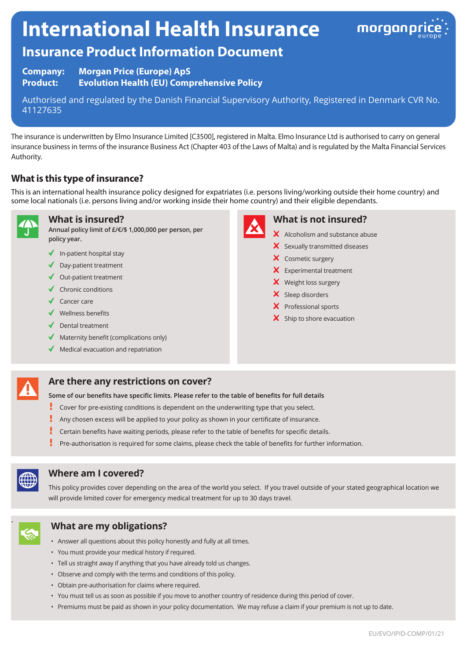# **International Health Insurance**



# **Insurance Product Information Document**

**Company: Morgan Price (Europe) ApS Product: Evolution Health (EU) Comprehensive Policy**

Authorised and regulated by the Danish Financial Supervisory Authority, Registered in Denmark CVR No. 41127635

The insurance is underwritten by Elmo Insurance Limited [C3500], registered in Malta. Elmo Insurance Ltd is authorised to carry on general insurance business in terms of the insurance Business Act (Chapter 403 of the Laws of Malta) and is regulated by the Malta Financial Services Authority.

# **What is this type of insurance?**

This is an international health insurance policy designed for expatriates (i.e. persons living/working outside their home country) and some local nationals (i.e. persons living and/or working inside their home country) and their eligible dependants.



#### **What is insured?**

**Annual policy limit of £/€/\$ 1,000,000 per person, per policy year.**

- $\blacklozenge$  In-patient hospital stay
- ◆ Day-patient treatment
- $\triangleleft$  Out-patient treatment
- $\checkmark$  Chronic conditions
- $\checkmark$  Cancer care
- Wellness benefits
- $\blacklozenge$  Dental treatment
- $\blacklozenge$  Maternity benefit (complications only)
- $\blacklozenge$  Medical evacuation and repatriation



#### **What is not insured?**

- $\boldsymbol{\times}$  Alcoholism and substance abuse
- $\boldsymbol{\times}$  Sexually transmitted diseases
- X Cosmetic surgery
- **X** Experimental treatment
- X Weight loss surgery
- $\boldsymbol{\times}$  Sleep disorders
- X Professional sports
- $\mathsf{\times}$  Ship to shore evacuation

# **Are there any restrictions on cover?**

**Some of our benefits have specific limits. Please refer to the table of benefits for full details**

- ŗ Cover for pre-existing conditions is dependent on the underwriting type that you select.
- Ţ Any chosen excess will be applied to your policy as shown in your certificate of insurance.
- ţ Certain benefits have waiting periods, please refer to the table of benefits for specific details.
- Pre-authorisation is required for some claims, please check the table of benefits for further information.



#### **Where am I covered?**

This policy provides cover depending on the area of the world you select. If you travel outside of your stated geographical location we will provide limited cover for emergency medical treatment for up to 30 days travel.



## . **What are my obligations?**

- Answer all questions about this policy honestly and fully at all times.
- You must provide your medical history if required.
- Tell us straight away if anything that you have already told us changes.
- Observe and comply with the terms and conditions of this policy.
- Obtain pre-authorisation for claims where required.
- You must tell us as soon as possible if you move to another country of residence during this period of cover.
- Premiums must be paid as shown in your policy documentation. We may refuse a claim if your premium is not up to date.